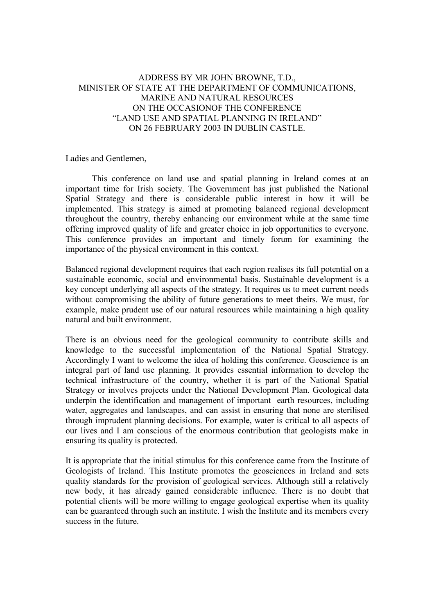## ADDRESS BY MR JOHN BROWNE, T.D., MINISTER OF STATE AT THE DEPARTMENT OF COMMUNICATIONS, MARINE AND NATURAL RESOURCES ON THE OCCASIONOF THE CONFERENCE "LAND USE AND SPATIAL PLANNING IN IRELAND" ON 26 FEBRUARY 2003 IN DUBLIN CASTLE.

Ladies and Gentlemen,

 This conference on land use and spatial planning in Ireland comes at an important time for Irish society. The Government has just published the National Spatial Strategy and there is considerable public interest in how it will be implemented. This strategy is aimed at promoting balanced regional development throughout the country, thereby enhancing our environment while at the same time offering improved quality of life and greater choice in job opportunities to everyone. This conference provides an important and timely forum for examining the importance of the physical environment in this context.

Balanced regional development requires that each region realises its full potential on a sustainable economic, social and environmental basis. Sustainable development is a key concept underlying all aspects of the strategy. It requires us to meet current needs without compromising the ability of future generations to meet theirs. We must, for example, make prudent use of our natural resources while maintaining a high quality natural and built environment.

There is an obvious need for the geological community to contribute skills and knowledge to the successful implementation of the National Spatial Strategy. Accordingly I want to welcome the idea of holding this conference. Geoscience is an integral part of land use planning. It provides essential information to develop the technical infrastructure of the country, whether it is part of the National Spatial Strategy or involves projects under the National Development Plan. Geological data underpin the identification and management of important earth resources, including water, aggregates and landscapes, and can assist in ensuring that none are sterilised through imprudent planning decisions. For example, water is critical to all aspects of our lives and I am conscious of the enormous contribution that geologists make in ensuring its quality is protected.

It is appropriate that the initial stimulus for this conference came from the Institute of Geologists of Ireland. This Institute promotes the geosciences in Ireland and sets quality standards for the provision of geological services. Although still a relatively new body, it has already gained considerable influence. There is no doubt that potential clients will be more willing to engage geological expertise when its quality can be guaranteed through such an institute. I wish the Institute and its members every success in the future.